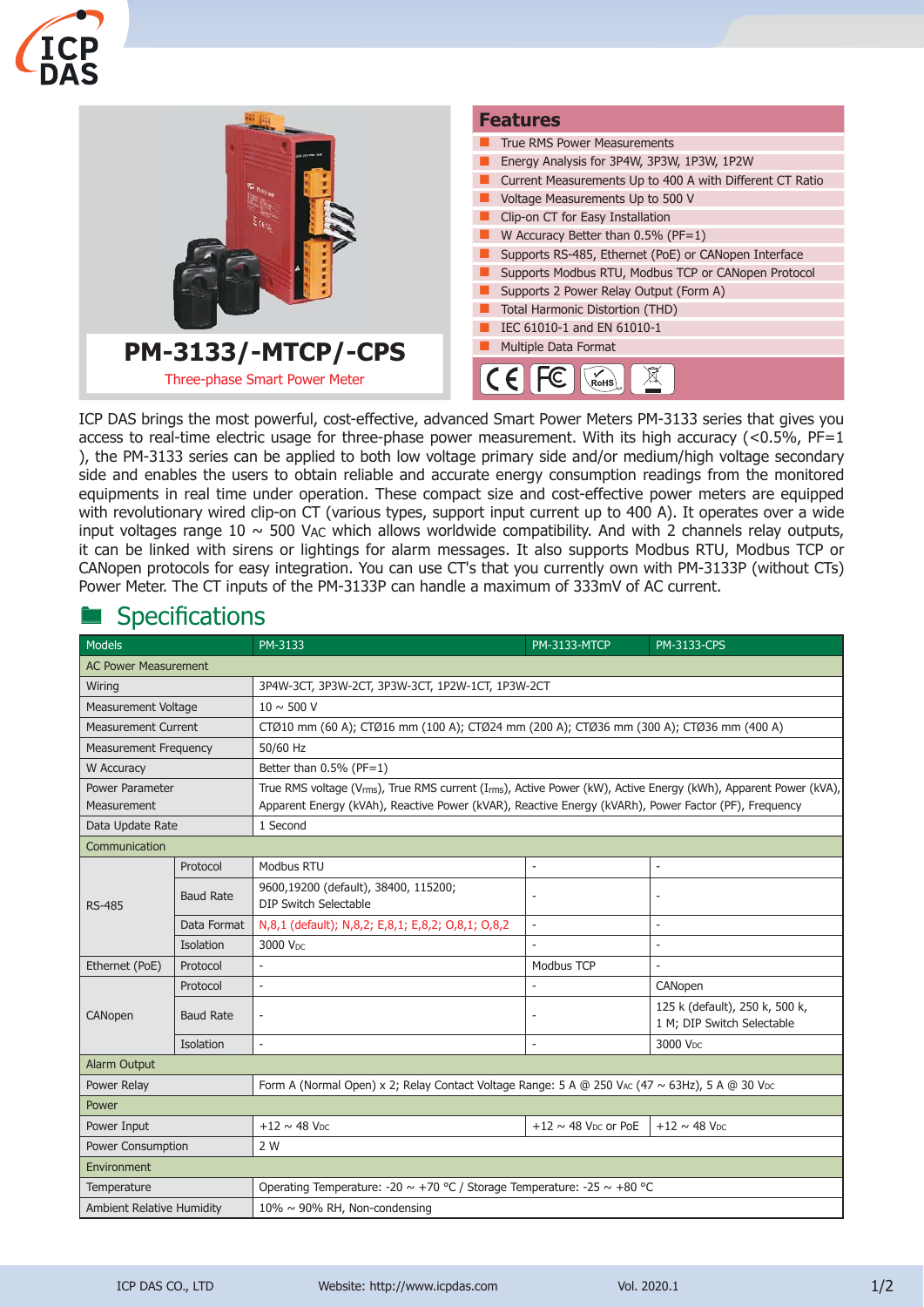



ICP DAS brings the most powerful, cost-effective, advanced Smart Power Meters PM-3133 series that gives you access to real-time electric usage for three-phase power measurement. With its high accuracy (<0.5%,  $PF=1$ ), the PM-3133 series can be applied to both low voltage primary side and/or medium/high voltage secondary side and enables the users to obtain reliable and accurate energy consumption readings from the monitored equipments in real time under operation. These compact size and cost-effective power meters are equipped with revolutionary wired clip-on CT (various types, support input current up to 400 A). It operates over a wide input voltages range  $10 \sim 500$  V<sub>AC</sub> which allows worldwide compatibility. And with 2 channels relay outputs, it can be linked with sirens or lightings for alarm messages. It also supports Modbus RTU, Modbus TCP or CANopen protocols for easy integration. You can use CT's that you currently own with PM-3133P (without CTs) Power Meter. The CT inputs of the PM-3133P can handle a maximum of 333mV of AC current.

|  | <b>Specifications</b> |  |
|--|-----------------------|--|
|  |                       |  |

| Models                                |                  | PM-3133                                                                                                                                                                                                                 | PM-3133-MTCP                         | <b>PM-3133-CPS</b>                                           |  |
|---------------------------------------|------------------|-------------------------------------------------------------------------------------------------------------------------------------------------------------------------------------------------------------------------|--------------------------------------|--------------------------------------------------------------|--|
| <b>AC Power Measurement</b>           |                  |                                                                                                                                                                                                                         |                                      |                                                              |  |
| Wiring                                |                  | 3P4W-3CT, 3P3W-2CT, 3P3W-3CT, 1P2W-1CT, 1P3W-2CT                                                                                                                                                                        |                                      |                                                              |  |
| <b>Measurement Voltage</b>            |                  | $10 \sim 500$ V                                                                                                                                                                                                         |                                      |                                                              |  |
| <b>Measurement Current</b>            |                  | CTØ10 mm (60 A); CTØ16 mm (100 A); CTØ24 mm (200 A); CTØ36 mm (300 A); CTØ36 mm (400 A)                                                                                                                                 |                                      |                                                              |  |
| <b>Measurement Frequency</b>          |                  | 50/60 Hz                                                                                                                                                                                                                |                                      |                                                              |  |
| W Accuracy                            |                  | Better than 0.5% (PF=1)                                                                                                                                                                                                 |                                      |                                                              |  |
| Power Parameter<br><b>Measurement</b> |                  | True RMS voltage (Vrms), True RMS current (Irms), Active Power (kW), Active Energy (kWh), Apparent Power (kVA),<br>Apparent Energy (kVAh), Reactive Power (kVAR), Reactive Energy (kVARh), Power Factor (PF), Frequency |                                      |                                                              |  |
| Data Update Rate                      |                  | 1 Second                                                                                                                                                                                                                |                                      |                                                              |  |
| Communication                         |                  |                                                                                                                                                                                                                         |                                      |                                                              |  |
|                                       | Protocol         | Modbus RTU                                                                                                                                                                                                              |                                      |                                                              |  |
| <b>RS-485</b>                         | <b>Baud Rate</b> | 9600,19200 (default), 38400, 115200;<br><b>DIP Switch Selectable</b>                                                                                                                                                    |                                      |                                                              |  |
|                                       | Data Format      | N,8,1 (default); N,8,2; E,8,1; E,8,2; O,8,1; O,8,2                                                                                                                                                                      | $\overline{a}$                       |                                                              |  |
|                                       | Isolation        | 3000 V <sub>DC</sub>                                                                                                                                                                                                    |                                      |                                                              |  |
| Ethernet (PoE)                        | Protocol         | $\overline{\phantom{a}}$                                                                                                                                                                                                | Modbus TCP                           | $\overline{\phantom{a}}$                                     |  |
| CANopen                               | Protocol         | $\overline{a}$                                                                                                                                                                                                          |                                      | CANopen                                                      |  |
|                                       | <b>Baud Rate</b> | $\overline{\phantom{a}}$                                                                                                                                                                                                |                                      | 125 k (default), 250 k, 500 k,<br>1 M; DIP Switch Selectable |  |
|                                       | Isolation        |                                                                                                                                                                                                                         |                                      | 3000 V <sub>DC</sub>                                         |  |
| Alarm Output                          |                  |                                                                                                                                                                                                                         |                                      |                                                              |  |
| Power Relay                           |                  | Form A (Normal Open) x 2; Relay Contact Voltage Range: 5 A @ 250 VAc (47 ~ 63Hz), 5 A @ 30 V <sub>DC</sub>                                                                                                              |                                      |                                                              |  |
| Power                                 |                  |                                                                                                                                                                                                                         |                                      |                                                              |  |
| Power Input                           |                  | $+12 \sim 48$ V <sub>DC</sub>                                                                                                                                                                                           | +12 $\sim$ 48 V <sub>DC</sub> or PoE | $+12 \sim 48$ V <sub>DC</sub>                                |  |
| Power Consumption                     |                  | 2 W                                                                                                                                                                                                                     |                                      |                                                              |  |
| Environment                           |                  |                                                                                                                                                                                                                         |                                      |                                                              |  |
| Temperature                           |                  | Operating Temperature: -20 $\sim$ +70 °C / Storage Temperature: -25 $\sim$ +80 °C                                                                                                                                       |                                      |                                                              |  |
| <b>Ambient Relative Humidity</b>      |                  | 10% ~ 90% RH, Non-condensing                                                                                                                                                                                            |                                      |                                                              |  |